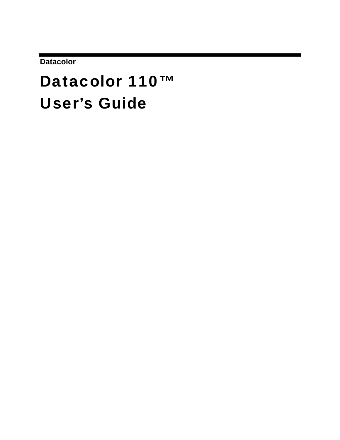**Datacolor** 

# Datacolor 110™ User's Guide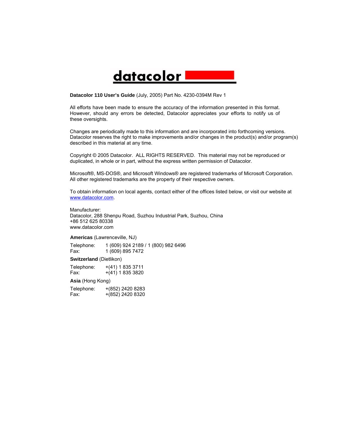## <u>datacolor</u>

**Datacolor 110 User's Guide** (July, 2005) Part No. 4230-0394M Rev 1

All efforts have been made to ensure the accuracy of the information presented in this format. However, should any errors be detected, Datacolor appreciates your efforts to notify us of these oversights.

Changes are periodically made to this information and are incorporated into forthcoming versions. Datacolor reserves the right to make improvements and/or changes in the product(s) and/or program(s) described in this material at any time.

Copyright © 2005 Datacolor. ALL RIGHTS RESERVED. This material may not be reproduced or duplicated, in whole or in part, without the express written permission of Datacolor.

Microsoft®, MS-DOS®, and Microsoft Windows® are registered trademarks of Microsoft Corporation. All other registered trademarks are the property of their respective owners.

To obtain information on local agents, contact either of the offices listed below, or visit our website at [www.datacolor.com](http://www.datacolor.com/).

Manufacturer: Datacolor, 288 Shenpu Road, Suzhou Industrial Park, Suzhou, China +86 512 625 80338 www.datacolor.com

**Americas** (Lawrenceville, NJ)

Telephone: Fax: 1 (609) 924 2189 / 1 (800) 982 6496 1 (609) 895 7472

**Switzerland** (Dietlikon)

Telephone: Fax: +(41) 1 835 3711 +(41) 1 835 3820 **Asia** (Hong Kong)

Telephone: Fax: +(852) 2420 8283 +(852) 2420 8320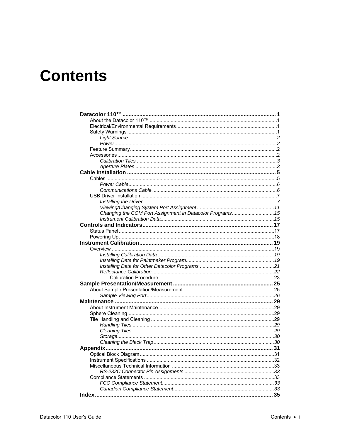## **Contents**

| Changing the COM Port Assignment in Datacolor Programs 15 |  |
|-----------------------------------------------------------|--|
|                                                           |  |
|                                                           |  |
|                                                           |  |
|                                                           |  |
|                                                           |  |
|                                                           |  |
|                                                           |  |
|                                                           |  |
|                                                           |  |
|                                                           |  |
|                                                           |  |
|                                                           |  |
|                                                           |  |
|                                                           |  |
|                                                           |  |
|                                                           |  |
|                                                           |  |
|                                                           |  |
|                                                           |  |
|                                                           |  |
|                                                           |  |
|                                                           |  |
|                                                           |  |
|                                                           |  |
|                                                           |  |
|                                                           |  |
|                                                           |  |
|                                                           |  |
|                                                           |  |
|                                                           |  |
| Index<br>.                                                |  |
|                                                           |  |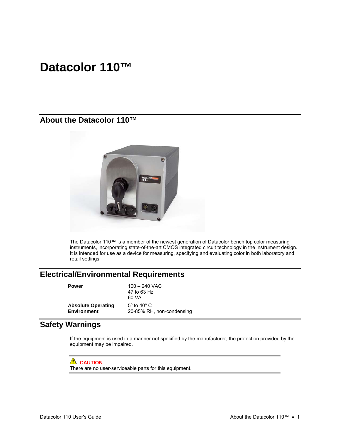## <span id="page-4-0"></span>**Datacolor 110™**

## **About the Datacolor 110™**



The Datacolor 110™ is a member of the newest generation of Datacolor bench top color measuring instruments, incorporating state-of-the-art CMOS integrated circuit technology in the instrument design. It is intended for use as a device for measuring, specifying and evaluating color in both laboratory and retail settings.

## **Electrical/Environmental Requirements**

**Power** 100 – 240 VAC 47 to 63 Hz 60 VA **Absolute Operating Environment**  5º to 40º C 20-85% RH, non-condensing

## **Safety Warnings**

If the equipment is used in a manner not specified by the manufacturer, the protection provided by the equipment may be impaired.

**B** CAUTION There are no user-serviceable parts for this equipment.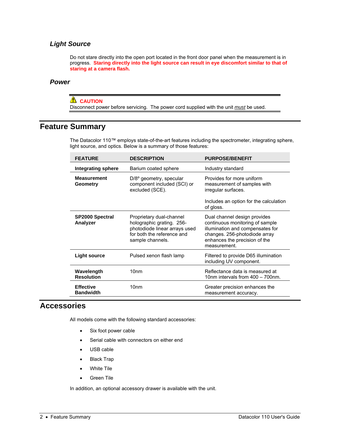### <span id="page-5-0"></span>*Light Source*

Do not stare directly into the open port located in the front door panel when the measurement is in progress. **Staring directly into the light source can result in eye discomfort similar to that of staring at a camera flash.** 

#### *Power*

#### **LAUTION**

Disconnect power before servicing. The power cord supplied with the unit *must* be used.

## **Feature Summary**

The Datacolor 110™ employs state-of-the-art features including the spectrometer, integrating sphere, light source, and optics. Below is a summary of those features:

| <b>FEATURE</b>                       | <b>DESCRIPTION</b>                                                                                                                       | <b>PURPOSE/BENEFIT</b>                                                                                                                                                                |  |
|--------------------------------------|------------------------------------------------------------------------------------------------------------------------------------------|---------------------------------------------------------------------------------------------------------------------------------------------------------------------------------------|--|
| Integrating sphere                   | Barium coated sphere                                                                                                                     | Industry standard                                                                                                                                                                     |  |
| <b>Measurement</b><br>Geometry       | $D/8^{\circ}$ geometry, specular<br>component included (SCI) or<br>excluded (SCE).                                                       | Provides for more uniform<br>measurement of samples with<br>irregular surfaces.<br>Includes an option for the calculation<br>of gloss.                                                |  |
| <b>SP2000 Spectral</b><br>Analyzer   | Proprietary dual-channel<br>holographic grating. 256-<br>photodiode linear arrays used<br>for both the reference and<br>sample channels. | Dual channel design provides<br>continuous monitoring of sample<br>illumination and compensates for<br>changes. 256-photodiode array<br>enhances the precision of the<br>measurement. |  |
| <b>Light source</b>                  | Pulsed xenon flash lamp                                                                                                                  | Filtered to provide D65 illumination<br>including UV component.                                                                                                                       |  |
| Wavelength<br><b>Resolution</b>      | 10 <sub>nm</sub>                                                                                                                         | Reflectance data is measured at<br>10nm intervals from 400 - 700nm.                                                                                                                   |  |
| <b>Effective</b><br><b>Bandwidth</b> | 10nm                                                                                                                                     | Greater precision enhances the<br>measurement accuracy.                                                                                                                               |  |

## **Accessories**

All models come with the following standard accessories:

- Six foot power cable
- Serial cable with connectors on either end
- USB cable
- Black Trap
- White Tile
- Green Tile

In addition, an optional accessory drawer is available with the unit.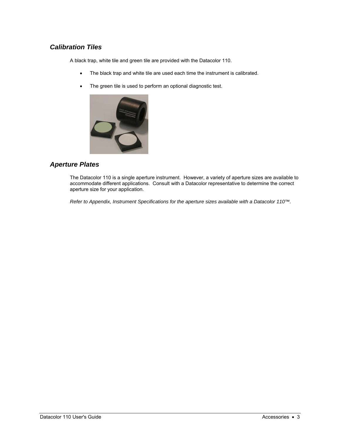### <span id="page-6-0"></span>*Calibration Tiles*

A black trap, white tile and green tile are provided with the Datacolor 110.

- The black trap and white tile are used each time the instrument is calibrated.
- The green tile is used to perform an optional diagnostic test.



### *Aperture Plates*

The Datacolor 110 is a single aperture instrument. However, a variety of aperture sizes are available to accommodate different applications. Consult with a Datacolor representative to determine the correct aperture size for your application.

*Refer to Appendix, Instrument Specifications for the aperture sizes available with a Datacolor 110™.*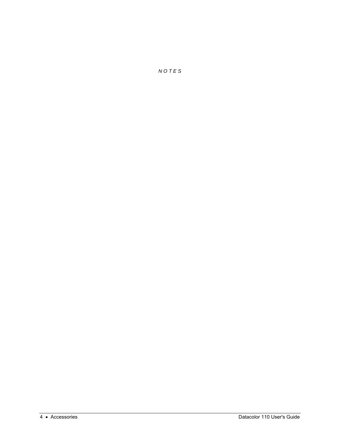*N O T E S*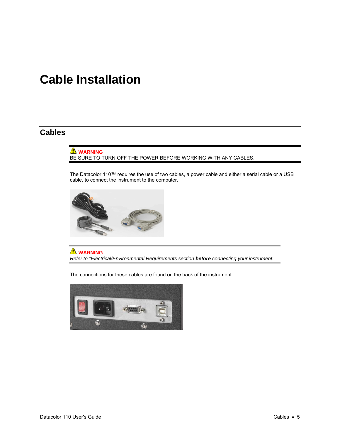## <span id="page-8-0"></span>**Cable Installation**

## **Cables**

**WARNING** BE SURE TO TURN OFF THE POWER BEFORE WORKING WITH ANY CABLES.

The Datacolor 110™ requires the use of two cables, a power cable and either a serial cable or a USB cable, to connect the instrument to the computer.



**WARNING** *Refer to "Electrical/Environmental Requirements section before connecting your instrument.* 

The connections for these cables are found on the back of the instrument.

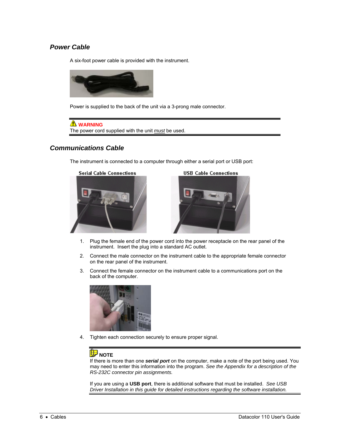## <span id="page-9-0"></span>*Power Cable*

A six-foot power cable is provided with the instrument.



Power is supplied to the back of the unit via a 3-prong male connector.



### *Communications Cable*

The instrument is connected to a computer through either a serial port or USB port:



**USB Cable Connections** 



- 1. Plug the female end of the power cord into the power receptacle on the rear panel of the instrument. Insert the plug into a standard AC outlet.
- 2. Connect the male connector on the instrument cable to the appropriate female connector on the rear panel of the instrument.
- 3. Connect the female connector on the instrument cable to a communications port on the back of the computer.



4. Tighten each connection securely to ensure proper signal.

## **B** NOTE

If there is more than one *serial port* on the computer, make a note of the port being used. You may need to enter this information into the program. *See the Appendix for a description of the RS-232C connector pin assignments.* 

If you are using a **USB port**, there is additional software that must be installed. *See USB Driver Installation in this guide for detailed instructions regarding the software installation.*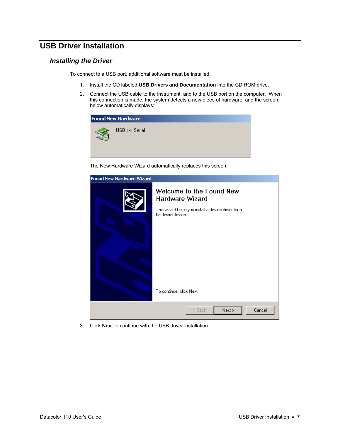## <span id="page-10-0"></span>**USB Driver Installation**

#### *Installing the Driver*

To connect to a USB port, additional software must be installed.

- 1. Install the CD labeled **USB Drivers and Documentation** into the CD ROM drive.
- 2. Connect the USB cable to the instrument, and to the USB port on the computer. When this connection is made, the system detects a new piece of hardware, and the screen below automatically displays:

| <b>Found New Hardware</b> |                              |  |  |  |  |
|---------------------------|------------------------------|--|--|--|--|
|                           | $USB \leftrightarrow$ Serial |  |  |  |  |

The New Hardware Wizard automatically replaces this screen.

| <b>Found New Hardware Wizard</b> |                                                                                                                                                    |
|----------------------------------|----------------------------------------------------------------------------------------------------------------------------------------------------|
|                                  | Welcome to the Found New<br>Hardware Wizard<br>This wizard helps you install a device driver for a<br>hardware device.<br>To continue, click Next. |
|                                  | Cancel<br>< Back<br>Next >                                                                                                                         |

3. Click **Next** to continue with the USB driver installation.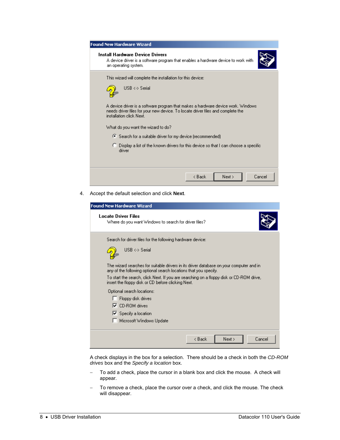| <b>Found New Hardware Wizard</b>                                                                                                                                                                                                                                                                                                     |
|--------------------------------------------------------------------------------------------------------------------------------------------------------------------------------------------------------------------------------------------------------------------------------------------------------------------------------------|
| Install Hardware Device Drivers<br>A device driver is a software program that enables a hardware device to work with<br>an operating system.                                                                                                                                                                                         |
| This wizard will complete the installation for this device:<br>$USB \leftrightarrow$ Serial<br>A device driver is a software program that makes a hardware device work. Windows<br>needs driver files for your new device. To locate driver files and complete the<br>installation click Next.<br>What do you want the wizard to do? |
| ○ Search for a suitable driver for my device (recommended)<br>$\heartsuit$ Display a list of the known drivers for this device so that I can choose a specific<br>driver                                                                                                                                                             |
| Next ><br>Cancel<br>< Back                                                                                                                                                                                                                                                                                                           |

4. Accept the default selection and click **Next**.

| <b>Found New Hardware Wizard</b>                                                                                                                            |
|-------------------------------------------------------------------------------------------------------------------------------------------------------------|
| <b>Locate Driver Files</b><br>Where do you want Windows to search for driver files?                                                                         |
| Search for driver files for the following hardware device:                                                                                                  |
| $USB \leftrightarrow$ Serial                                                                                                                                |
| The wizard searches for suitable drivers in its driver database on your computer and in<br>any of the following optional search locations that you specify. |
| To start the search, click Next. If you are searching on a floppy disk or CD-ROM drive,<br>insert the floppy disk or CD before clicking Next.               |
| Optional search locations:                                                                                                                                  |
| Floppy disk drives                                                                                                                                          |
| $\nabla$ CD-BOM drives                                                                                                                                      |
| $\nabla$ Specify a location                                                                                                                                 |
| Microsoft Windows Update                                                                                                                                    |
| Cancel<br>< Back<br>Next >                                                                                                                                  |

A check displays in the box for a selection. There should be a check in both the *CD-ROM drives* box and the *Specify a location* box.

- − To add a check, place the cursor in a blank box and click the mouse. A check will appear.
- To remove a check, place the cursor over a check, and click the mouse. The check will disappear.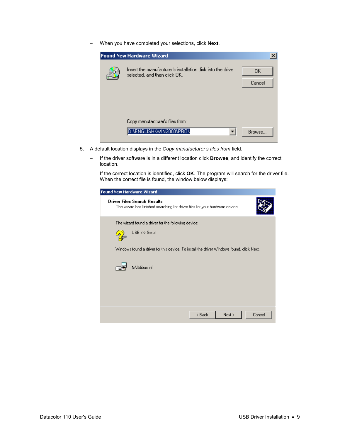− When you have completed your selections, click **Next**.

| <b>Found New Hardware Wizard</b>                                                           |              |
|--------------------------------------------------------------------------------------------|--------------|
| Insert the manufacturer's installation disk into the drive<br>selected, and then click OK. | OΚ<br>Cancel |
| Copy manufacturer's files from:<br>D:\ENGLISH\WIN2000\PRO\                                 | Browse       |

- 5. A default location displays in the *Copy manufacturer's files from* field.
	- − If the driver software is in a different location click **Browse**, and identify the correct location.
	- − If the correct location is identified, click **OK**. The program will search for the driver file. When the correct file is found, the window below displays:

| <b>Found New Hardware Wizard</b>                                                                                   |
|--------------------------------------------------------------------------------------------------------------------|
| <b>Driver Files Search Results</b><br>The wizard has finished searching for driver files for your hardware device. |
| The wizard found a driver for the following device:                                                                |
| $USB \leftrightarrow$ Serial                                                                                       |
| Windows found a driver for this device. To install the driver Windows found, click Next.                           |
| <b>D:</b> \ftdibus.inf                                                                                             |
|                                                                                                                    |
|                                                                                                                    |
| Cancel<br>< Back<br>Next >                                                                                         |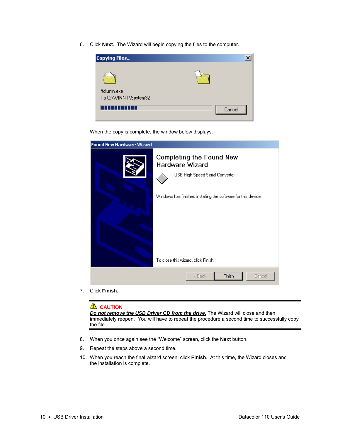6. Click **Next**. The Wizard will begin copying the files to the computer.



When the copy is complete, the window below displays:

| <b>Found New Hardware Wizard</b>                       |                                                                                                                              |
|--------------------------------------------------------|------------------------------------------------------------------------------------------------------------------------------|
| Hardware Wizard<br>To close this wizard, click Finish. | Completing the Found New<br>USB High Speed Serial Converter<br>Windows has finished installing the software for this device. |
|                                                        | Finish<br>< Back<br>Cancel                                                                                                   |

7. Click **Finish**.

#### **L** CAUTION

*Do not remove the USB Driver CD from the drive.* The Wizard will close and then immediately reopen. You will have to repeat the procedure a second time to successfully copy the file.

- 8. When you once again see the "Welcome" screen, click the **Next** button.
- 9. Repeat the steps above a second time.
- 10. When you reach the final wizard screen, click **Finish**. At this time, the Wizard closes and the installation is complete.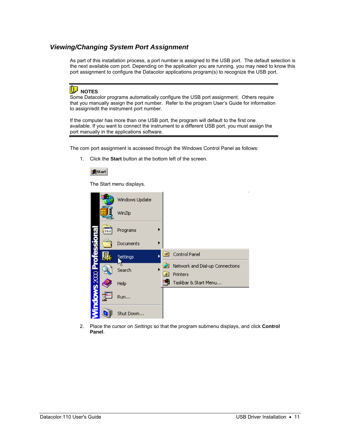### <span id="page-14-0"></span>*Viewing/Changing System Port Assignment*

As part of this installation process, a port number is assigned to the USB port. The default selection is the next available com port. Depending on the application you are running, you may need to know this port assignment to configure the Datacolor applications program(s) to recognize the USB port.

## **D** NOTES

Some Datacolor programs automatically configure the USB port assignment. Others require that you manually assign the port number. Refer to the program User's Guide for information to assign/edit the instrument port number.

If the computer has more than one USB port, the program will default to the first one available. If you want to connect the instrument to a different USB port, you must assign the port manually in the applications software.

The com port assignment is accessed through the Windows Control Panel as follows:

1. Click the **Start** button at the bottom left of the screen.



The Start menu displays.



2. Place the cursor on *Settings* so that the program submenu displays, and click **Control Panel**.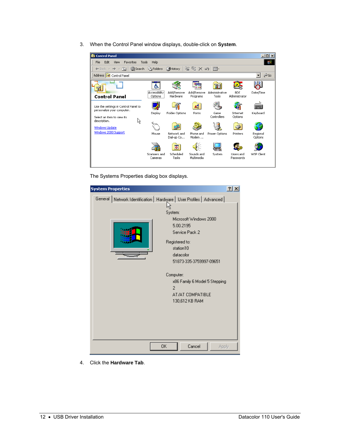3. When the Control Panel window displays, double-click on **System**.

| <b>函</b> Control Panel                                                                                                                                           |                               |                                             |                                   |                                      |                                 | $\Box$                                    |
|------------------------------------------------------------------------------------------------------------------------------------------------------------------|-------------------------------|---------------------------------------------|-----------------------------------|--------------------------------------|---------------------------------|-------------------------------------------|
| Edit<br>Tools<br>View<br>Favorites<br>File                                                                                                                       | Help                          |                                             |                                   |                                      |                                 |                                           |
| → • 回 © Search G Folders ② History<br>$\leftarrow$ Back $\leftarrow$                                                                                             |                               |                                             | 啓 堅 X の                           | 圓▼                                   |                                 |                                           |
| Address <b>M</b> Control Panel                                                                                                                                   |                               |                                             |                                   |                                      |                                 | ∂Go                                       |
| 귧                                                                                                                                                                | $\overline{\phantom{a}}$<br>ය |                                             |                                   |                                      |                                 |                                           |
| <b>Control Panel</b>                                                                                                                                             | Accessibility<br>Options      | Add/Remove<br>Hardware                      | Add/Remove<br>Programs            | Administrative<br>Tools              | <b>BDE</b><br>Administrator     | Date/Time                                 |
| Use the settings in Control Panel to<br>personalize your computer.<br>Select an item to view its<br>description.<br>μç<br>Windows Update<br>Windows 2000 Support | Display<br>Mouse              | Folder Options<br>Network and<br>Dial-up Co | ٨å<br>Fonts<br>Phone and<br>Modem | Game<br>Controllers<br>Power Options | Internet<br>Options<br>Printers | <br>養母<br>Keyboard<br>Regional<br>Options |
|                                                                                                                                                                  | Scanners and<br>Cameras       | $\bullet$<br>Scheduled<br>Tasks             | Sounds and<br>Multimedia          | System                               | Users and<br>Passwords          | WSP Client                                |

The Systems Properties dialog box displays.

| <b>System Properties</b>                                                  | ? |
|---------------------------------------------------------------------------|---|
| Network Identification   Hardware   User Profiles   Advanced  <br>General |   |
|                                                                           |   |
| System:                                                                   |   |
| Microsoft Windows 2000                                                    |   |
| 5.00.2195                                                                 |   |
| Service Pack 2                                                            |   |
| Registered to:                                                            |   |
| station10                                                                 |   |
| datacolor                                                                 |   |
| 51873-335-3759997-09651                                                   |   |
|                                                                           |   |
| Computer:                                                                 |   |
| x86 Family 6 Model 5 Stepping                                             |   |
| 2                                                                         |   |
| AT/AT COMPATIBLE                                                          |   |
| 130,612 KB RAM                                                            |   |
|                                                                           |   |
|                                                                           |   |
|                                                                           |   |
|                                                                           |   |
|                                                                           |   |
| Cancel<br>OΚ<br>Apply                                                     |   |

4. Click the **Hardware Tab**.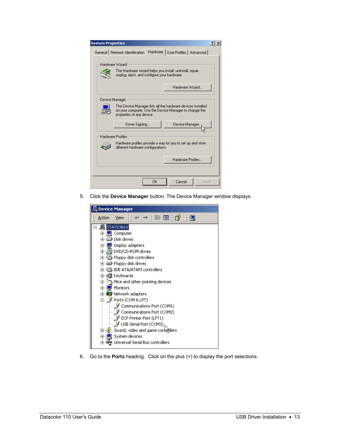| <b>System Properties</b>                                                                                                                           |  |  |  |  |
|----------------------------------------------------------------------------------------------------------------------------------------------------|--|--|--|--|
| Hardware   User Profiles   Advanced  <br>General Network Identification                                                                            |  |  |  |  |
|                                                                                                                                                    |  |  |  |  |
| Hardware Wizard                                                                                                                                    |  |  |  |  |
| The Hardware wizard helps you install, uninstall, repair,<br>unplug, eject, and configure your hardware.                                           |  |  |  |  |
| Hardware Wizard                                                                                                                                    |  |  |  |  |
| Device Manager                                                                                                                                     |  |  |  |  |
| The Device Manager lists all the hardware devices installed<br>on your computer. Use the Device Manager to change the<br>properties of any device. |  |  |  |  |
| Device Manager.<br>Driver Signing                                                                                                                  |  |  |  |  |
| <b>Hardware Profiles</b>                                                                                                                           |  |  |  |  |
| Hardware profiles provide a way for you to set up and store<br>different hardware configurations.                                                  |  |  |  |  |
| Hardware Profiles                                                                                                                                  |  |  |  |  |
|                                                                                                                                                    |  |  |  |  |
| ΩK<br>Cancel<br>Apply                                                                                                                              |  |  |  |  |

5. Click the **Device Manager** button. The Device Manager window displays.



6. Go to the **Ports** heading. Click on the plus (+) to display the port selections.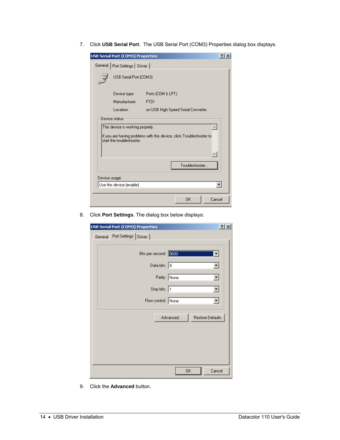7. Click **USB Serial Port**. The USB Serial Port (COM3) Properties dialog box displays.

|                                                                                                                                                                                                      | USB Serial Port (COM3) Properties |                                    |    |        |  |
|------------------------------------------------------------------------------------------------------------------------------------------------------------------------------------------------------|-----------------------------------|------------------------------------|----|--------|--|
|                                                                                                                                                                                                      | General   Port Settings   Driver  |                                    |    |        |  |
|                                                                                                                                                                                                      | USB Serial Port (COM3)            |                                    |    |        |  |
|                                                                                                                                                                                                      | Device type:                      | Ports (COM & LPT)                  |    |        |  |
|                                                                                                                                                                                                      | Manufacturer:                     | <b>FTDI</b>                        |    |        |  |
|                                                                                                                                                                                                      | Location:                         | on USB High Speed Serial Converter |    |        |  |
| Device status<br>This device is working properly.<br>If you are having problems with this device, click Troubleshooter to<br>start the troubleshooter.<br>$\overline{\mathcal{F}}$<br>Troubleshooter |                                   |                                    |    |        |  |
| Device usage:<br>Use this device (enable)                                                                                                                                                            |                                   |                                    |    |        |  |
|                                                                                                                                                                                                      |                                   |                                    |    |        |  |
|                                                                                                                                                                                                      |                                   |                                    | OK | Cancel |  |

8. Click **Port Settings**. The dialog box below displays:

| <b>USB Serial Port (COM3) Properties</b> |          | $\frac{2}{1}$ $\times$ |
|------------------------------------------|----------|------------------------|
| General Port Settings Driver             |          |                        |
| Bits per second: 9600                    |          | ▾╎                     |
| Data bits: 8                             |          | ∽∣                     |
| Parity: None                             |          | ▾╎                     |
| Stop bits: 1                             |          | ▾                      |
| Flow control: None                       |          | $\blacktriangledown$   |
|                                          | Advanced | Restore Defaults       |
|                                          |          |                        |
|                                          |          |                        |
|                                          |          |                        |
|                                          | 0K       | Cancel                 |

9. Click the **Advanced** button.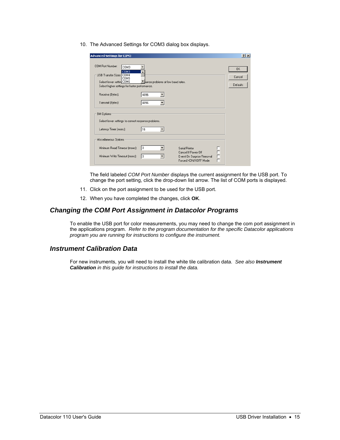<span id="page-18-0"></span>10. The Advanced Settings for COM3 dialog box displays.

| <b>Advanced Settings for COM3</b>                                                                                                                         |                                    |                                                                                            |             | ? x                      |
|-----------------------------------------------------------------------------------------------------------------------------------------------------------|------------------------------------|--------------------------------------------------------------------------------------------|-------------|--------------------------|
| COM Port Number:<br>COM3<br>COM3<br><b>USB Transfer Sizes COM4</b><br>COM5<br>Select lower setting COM6<br>Select higher settings for faster performance. | Inance problems at low baud rates. |                                                                                            |             | 0K<br>Cancel<br>Defaults |
| Receive (Bytes):<br>Transmit (Bytes):                                                                                                                     | 4096<br>4096                       |                                                                                            |             |                          |
| BM Options:<br>Select lower settings to correct response problems.                                                                                        |                                    |                                                                                            |             |                          |
| Latency Timer (msec):                                                                                                                                     | 16                                 |                                                                                            |             |                          |
| Miscellaneous Options                                                                                                                                     |                                    |                                                                                            |             |                          |
| Minimum Read Timeout (msec):<br>Minimum Write Timeout (msec):                                                                                             | lo.<br>10                          | Serial Printer<br>Cancel If Power Off<br>Event On Surprise Removal<br>Forced XON/XOFF Mode | F<br>Ē<br>┍ |                          |

The field labeled *COM Port Number* displays the current assignment for the USB port. To change the port setting, click the drop-down list arrow. The list of COM ports is displayed.

- 11. Click on the port assignment to be used for the USB port.
- 12. When you have completed the changes, click **OK**.

#### *Changing the COM Port Assignment in Datacolor Programs*

To enable the USB port for color measurements, you may need to change the com port assignment in the applications program. *Refer to the program documentation for the specific Datacolor applications program you are running for instructions to configure the instrument.* 

#### *Instrument Calibration Data*

For new instruments, you will need to install the white tile calibration data. *See also Instrument Calibration in this guide for instructions to install the data.*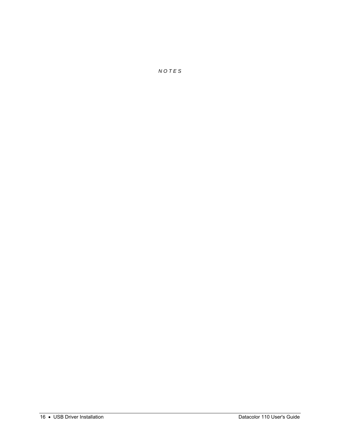*N O T E S*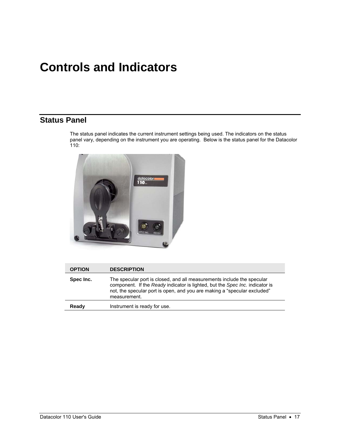## <span id="page-20-0"></span>**Controls and Indicators**

## **Status Panel**

The status panel indicates the current instrument settings being used. The indicators on the status panel vary, depending on the instrument you are operating. Below is the status panel for the Datacolor  $110:$ 



| <b>OPTION</b> | <b>DESCRIPTION</b>                                                                                                                                                                                                                                 |
|---------------|----------------------------------------------------------------------------------------------------------------------------------------------------------------------------------------------------------------------------------------------------|
| Spec Inc.     | The specular port is closed, and all measurements include the specular<br>component. If the Ready indicator is lighted, but the Spec Inc. indicator is<br>not, the specular port is open, and you are making a "specular excluded"<br>measurement. |
| Ready         | Instrument is ready for use.                                                                                                                                                                                                                       |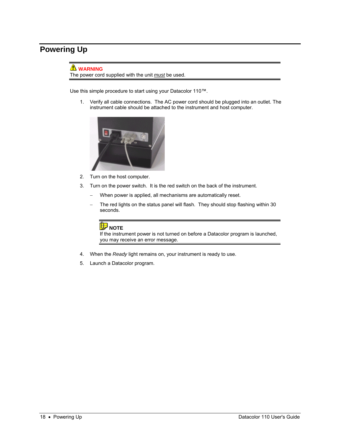## <span id="page-21-0"></span>**Powering Up**

### **WARNING**

The power cord supplied with the unit *must* be used.

Use this simple procedure to start using your Datacolor 110™.

1. Verify all cable connections. The AC power cord should be plugged into an outlet. The instrument cable should be attached to the instrument and host computer.



- 2. Turn on the host computer.
- 3. Turn on the power switch. It is the red switch on the back of the instrument.
	- − When power is applied, all mechanisms are automatically reset.
	- The red lights on the status panel will flash. They should stop flashing within 30 seconds.

## **D** NOTE

If the instrument power is not turned on before a Datacolor program is launched, you may receive an error message.

- 4. When the *Ready* light remains on, your instrument is ready to use.
- 5. Launch a Datacolor program.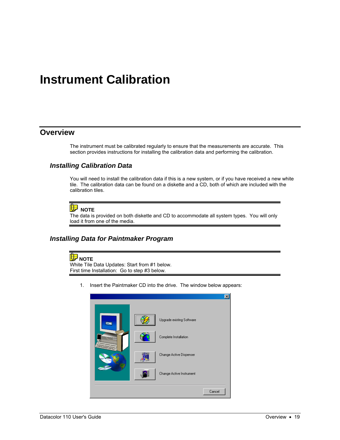## <span id="page-22-0"></span>**Instrument Calibration**

## **Overview**

The instrument must be calibrated regularly to ensure that the measurements are accurate. This section provides instructions for installing the calibration data and performing the calibration.

#### *Installing Calibration Data*

You will need to install the calibration data if this is a new system, or if you have received a new white tile. The calibration data can be found on a diskette and a CD, both of which are included with the calibration tiles.

### **D** NOTE

The data is provided on both diskette and CD to accommodate all system types. You will only load it from one of the media.

#### *Installing Data for Paintmaker Program*

#### **NOTE**

White Tile Data Updates: Start from #1 below. First time Installation: Go to step #3 below.

1. Insert the Paintmaker CD into the drive. The window below appears:

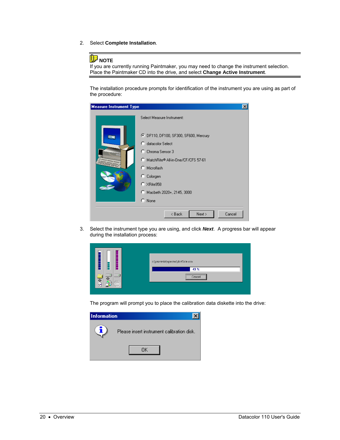2. Select **Complete Installation**.

## **D** NOTE

If you are currently running Paintmaker, you may need to change the instrument selection. Place the Paintmaker CD into the drive, and select **Change Active Instrument**.

The installation procedure prompts for identification of the instrument you are using as part of the procedure:

| <b>Measure Instrument Type</b> |                                                                                  | $\vert x \vert$ |  |
|--------------------------------|----------------------------------------------------------------------------------|-----------------|--|
|                                | Select Measure Instrument:                                                       |                 |  |
|                                | C DF110, DF100, SF300, SF600, Mercury<br>C datacolor Select<br>C Chroma Sensor 3 |                 |  |
|                                | C MatchRite® All-in-One/CF/CFS 57-61<br>C Microflash                             |                 |  |
|                                | C Colorgen<br>$C$ $\times$ Rite $958$                                            |                 |  |
|                                | Macbeth 2020+, 2145, 3000<br>$C$ None                                            |                 |  |
|                                | Next ><br>Cancel<br>< Back                                                       |                 |  |

3. Select the instrument type you are using, and click *Next*. A progress bar will appear during the installation process:

|              | c:\paintmkr\spectro\dc45ole.ocx<br>43 % |
|--------------|-----------------------------------------|
| 仐<br>ц<br>o- | Cancel                                  |

The program will prompt you to place the calibration data diskette into the drive:

| <b>Information</b> |                                            |
|--------------------|--------------------------------------------|
|                    | Please insert instrument calibration disk. |
|                    |                                            |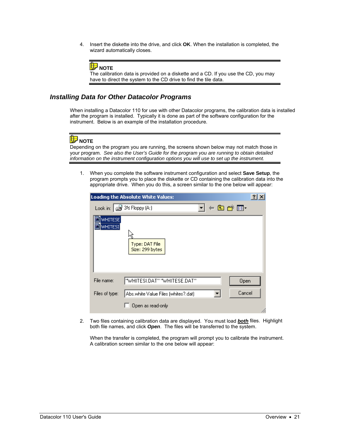<span id="page-24-0"></span>4. Insert the diskette into the drive, and click **OK**. When the installation is completed, the wizard automatically closes.



The calibration data is provided on a diskette and a CD. If you use the CD, you may have to direct the system to the CD drive to find the tile data.

#### *Installing Data for Other Datacolor Programs*

When installing a Datacolor 110 for use with other Datacolor programs, the calibration data is installed after the program is installed. Typically it is done as part of the software configuration for the instrument. Below is an example of the installation procedure.

## **NOTE**

Depending on the program you are running, the screens shown below may not match those in your program. *See also the User's Guide for the program you are running to obtain detailed information on the instrument configuration options you will use to set up the instrument.* 

1. When you complete the software instrument configuration and select **Save Setup**, the program prompts you to place the diskette or CD containing the calibration data into the appropriate drive. When you do this, a screen similar to the one below will appear:

|                           | $\frac{1}{2}$<br>Loading the Absolute White Values:     |
|---------------------------|---------------------------------------------------------|
|                           | ←白び囲・<br>Look in: $\boxed{\mathbb{S}^2}$ 3½ Floppy (A:) |
| <b>WHITESE</b><br>WHITESI | Type: DAT File<br>Size: 299 bytes                       |
| File name:                | "WHITESI.DAT" "WHITESE.DAT"<br>Open                     |
| Files of type:            | Cancel<br>Abs.white Value Files (whites?.dat)<br>▼      |
|                           | Open as read-only                                       |

2. Two files containing calibration data are displayed. You must load *both* files. Highlight both file names, and click *Open*. The files will be transferred to the system.

When the transfer is completed, the program will prompt you to calibrate the instrument. A calibration screen similar to the one below will appear: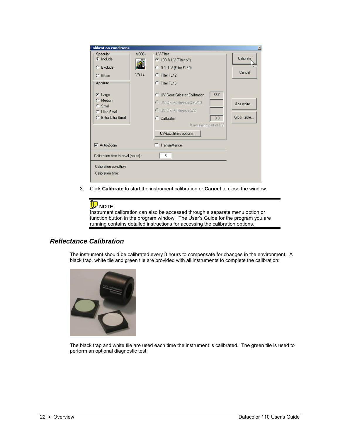<span id="page-25-0"></span>

| <b>Calibration conditions</b>                                          |                 |                                                                                                                                                                                   | $\vert x \vert$          |
|------------------------------------------------------------------------|-----------------|-----------------------------------------------------------------------------------------------------------------------------------------------------------------------------------|--------------------------|
| Specular-<br>$\odot$ Include<br>$C$ Exclude<br>$C$ Gloss<br>Aperture   | $+00a$<br>V9.14 | UV-Filter<br>◯ 100 % UV (Filter off)<br>$\bigcirc$ 0 % UV (Filter FL40)<br>C Filter FL42<br>C Filter FL46                                                                         | Calibrate<br>Cancel      |
| $\bullet$ Large<br>Medium<br>Small<br>Ultra Small<br>Extra Ultra Small |                 | 68.0<br><b>C</b> LIV Ganz-Griesser Calibration<br>C UV CIE Whiteness D65/10<br>C UV CIE Whiteness C/2<br>0.0<br>C Calibrator<br>% remaining part of UV<br>UV-Excl.filters options | Abs.white<br>Gloss table |
| $\nabla$ Auto-Zoom                                                     |                 | Transmittance                                                                                                                                                                     |                          |
| Calibration time interval (hours) :                                    |                 | 8                                                                                                                                                                                 |                          |
| Calibration condition:<br>Calibration time:                            |                 |                                                                                                                                                                                   |                          |

3. Click **Calibrate** to start the instrument calibration or **Cancel** to close the window.

## **D** NOTE

Instrument calibration can also be accessed through a separate menu option or function button in the program window. The User's Guide for the program you are running contains detailed instructions for accessing the calibration options.

### *Reflectance Calibration*

The instrument should be calibrated every 8 hours to compensate for changes in the environment. A black trap, white tile and green tile are provided with all instruments to complete the calibration:



The black trap and white tile are used each time the instrument is calibrated. The green tile is used to perform an optional diagnostic test.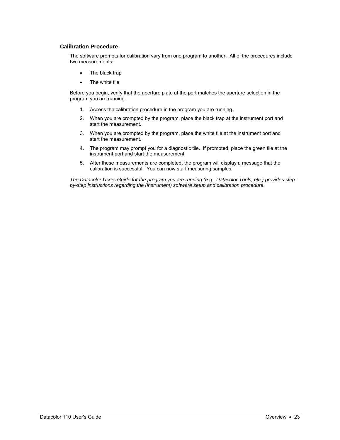#### <span id="page-26-0"></span>**Calibration Procedure**

The software prompts for calibration vary from one program to another. All of the procedures include two measurements:

- The black trap
- The white tile

Before you begin, verify that the aperture plate at the port matches the aperture selection in the program you are running.

- 1. Access the calibration procedure in the program you are running.
- 2. When you are prompted by the program, place the black trap at the instrument port and start the measurement.
- 3. When you are prompted by the program, place the white tile at the instrument port and start the measurement.
- 4. The program may prompt you for a diagnostic tile. If prompted, place the green tile at the instrument port and start the measurement.
- 5. After these measurements are completed, the program will display a message that the calibration is successful. You can now start measuring samples.

*The Datacolor Users Guide for the program you are running (e.g., Datacolor Tools, etc.) provides stepby-step instructions regarding the (instrument) software setup and calibration procedure.*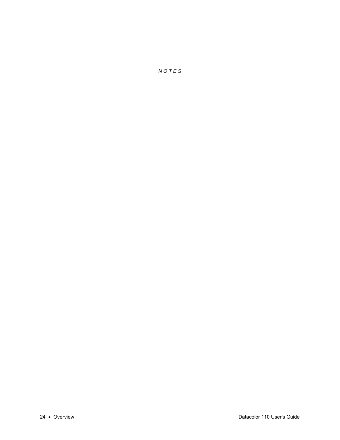*N O T E S*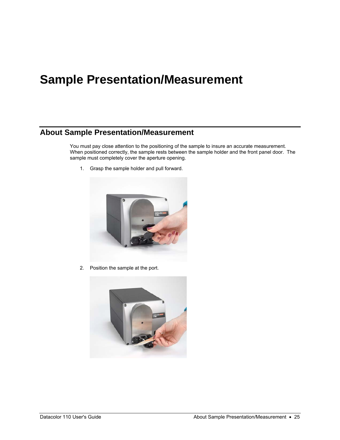## <span id="page-28-0"></span>**Sample Presentation/Measurement**

## **About Sample Presentation/Measurement**

You must pay close attention to the positioning of the sample to insure an accurate measurement. When positioned correctly, the sample rests between the sample holder and the front panel door. The sample must completely cover the aperture opening.

1. Grasp the sample holder and pull forward.



2. Position the sample at the port.

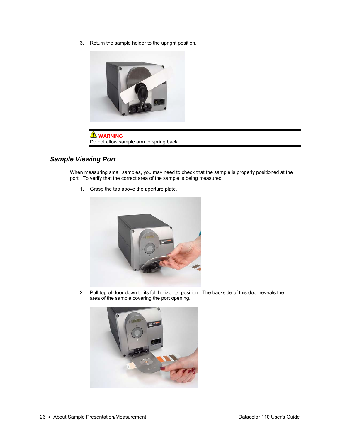<span id="page-29-0"></span>3. Return the sample holder to the upright position.



**WARNING** Do not allow sample arm to spring back.

### *Sample Viewing Port*

When measuring small samples, you may need to check that the sample is properly positioned at the port. To verify that the correct area of the sample is being measured:

1. Grasp the tab above the aperture plate.



2. Pull top of door down to its full horizontal position. The backside of this door reveals the area of the sample covering the port opening.

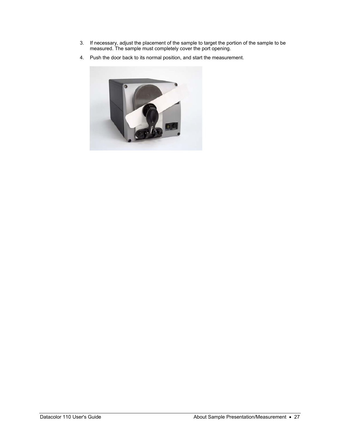- 3. If necessary, adjust the placement of the sample to target the portion of the sample to be measured. The sample must completely cover the port opening.
- 4. Push the door back to its normal position, and start the measurement.

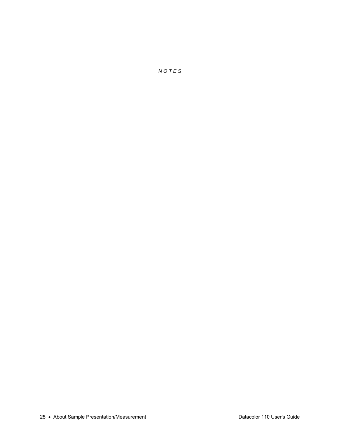*N O T E S*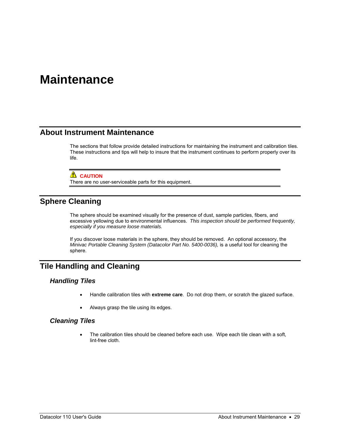## <span id="page-32-0"></span>**Maintenance**

## **About Instrument Maintenance**

The sections that follow provide detailed instructions for maintaining the instrument and calibration tiles. These instructions and tips will help to insure that the instrument continues to perform properly over its life.

#### **LAUTION**

There are no user-serviceable parts for this equipment.

## **Sphere Cleaning**

The sphere should be examined visually for the presence of dust, sample particles, fibers, and excessive yellowing due to environmental influences. *This inspection should be performed frequently, especially if you measure loose materials.*

If you discover loose materials in the sphere, they should be removed. An optional accessory, the *Minivac Portable Cleaning System (Datacolor Part No. 5400-0036),* is a useful tool for cleaning the sphere.

## **Tile Handling and Cleaning**

#### *Handling Tiles*

- Handle calibration tiles with **extreme care**. Do not drop them, or scratch the glazed surface.
- Always grasp the tile using its edges.

#### *Cleaning Tiles*

The calibration tiles should be cleaned before each use. Wipe each tile clean with a soft, lint-free cloth.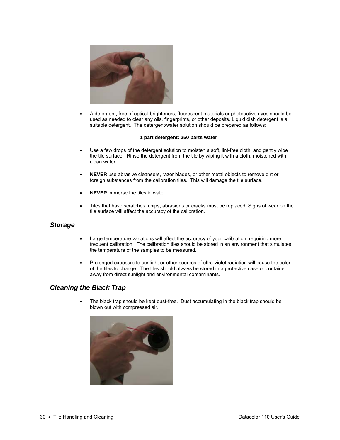<span id="page-33-0"></span>

• A detergent, free of optical brighteners, fluorescent materials or photoactive dyes should be used as needed to clear any oils, fingerprints, or other deposits. Liquid dish detergent is a suitable detergent. The detergent/water solution should be prepared as follows:

#### **1 part detergent: 250 parts water**

- Use a few drops of the detergent solution to moisten a soft, lint-free cloth, and gently wipe the tile surface. Rinse the detergent from the tile by wiping it with a cloth, moistened with clean water.
- **NEVER** use abrasive cleansers, razor blades, or other metal objects to remove dirt or foreign substances from the calibration tiles. This will damage the tile surface.
- **NEVER** immerse the tiles in water.
- Tiles that have scratches, chips, abrasions or cracks must be replaced. Signs of wear on the tile surface will affect the accuracy of the calibration.

#### *Storage*

- Large temperature variations will affect the accuracy of your calibration, requiring more frequent calibration. The calibration tiles should be stored in an environment that simulates the temperature of the samples to be measured.
- Prolonged exposure to sunlight or other sources of ultra-violet radiation will cause the color of the tiles to change. The tiles should always be stored in a protective case or container away from direct sunlight and environmental contaminants.

#### *Cleaning the Black Trap*

The black trap should be kept dust-free. Dust accumulating in the black trap should be blown out with compressed air.

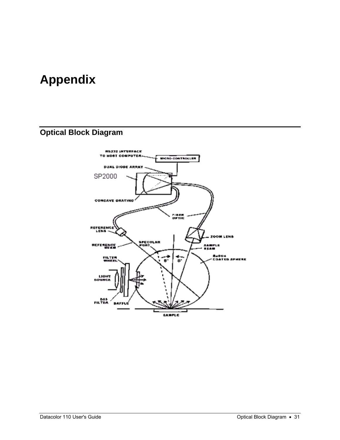## <span id="page-34-0"></span>**Appendix**

## **Optical Block Diagram**

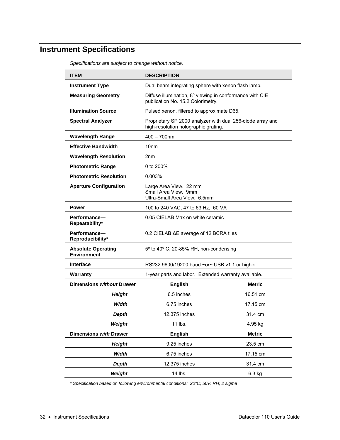## <span id="page-35-0"></span>**Instrument Specifications**

| <b>ITEM</b><br><b>DESCRIPTION</b>               |                                                                                                    |                                            |  |
|-------------------------------------------------|----------------------------------------------------------------------------------------------------|--------------------------------------------|--|
| <b>Instrument Type</b>                          | Dual beam integrating sphere with xenon flash lamp.                                                |                                            |  |
| <b>Measuring Geometry</b>                       | Diffuse illumination, 8° viewing in conformance with CIE<br>publication No. 15.2 Colorimetry.      |                                            |  |
| <b>Illumination Source</b>                      |                                                                                                    | Pulsed xenon, filtered to approximate D65. |  |
| <b>Spectral Analyzer</b>                        | Proprietary SP 2000 analyzer with dual 256-diode array and<br>high-resolution holographic grating. |                                            |  |
| <b>Wavelength Range</b>                         | $400 - 700$ nm                                                                                     |                                            |  |
| <b>Effective Bandwidth</b>                      | 10 <sub>nm</sub>                                                                                   |                                            |  |
| <b>Wavelength Resolution</b>                    | 2nm                                                                                                |                                            |  |
| <b>Photometric Range</b>                        | 0 to 200%                                                                                          |                                            |  |
| <b>Photometric Resolution</b>                   | 0.003%                                                                                             |                                            |  |
| <b>Aperture Configuration</b>                   | Large Area View. 22 mm<br>Small Area View. 9mm<br>Ultra-Small Area View. 6.5mm                     |                                            |  |
| <b>Power</b>                                    | 100 to 240 VAC, 47 to 63 Hz, 60 VA                                                                 |                                            |  |
| Performance-<br>Repeatability*                  | 0.05 CIELAB Max on white ceramic                                                                   |                                            |  |
| Performance-<br>Reproducibility*                | 0.2 CIELAB ΔE average of 12 BCRA tiles                                                             |                                            |  |
| <b>Absolute Operating</b><br><b>Environment</b> | 5° to 40° C, 20-85% RH, non-condensing                                                             |                                            |  |
| <b>Interface</b>                                | RS232 9600/19200 baud ~or~ USB v1.1 or higher                                                      |                                            |  |
| Warranty                                        | 1-year parts and labor. Extended warranty available.                                               |                                            |  |
| <b>Dimensions without Drawer</b>                | <b>English</b>                                                                                     | <b>Metric</b>                              |  |
| <b>Height</b>                                   | 6.5 inches                                                                                         | 16.51 cm                                   |  |
| Width                                           | 6.75 inches                                                                                        | 17.15 cm                                   |  |
| <b>Depth</b>                                    | 12.375 inches                                                                                      | 31.4 cm                                    |  |
| Weight                                          | 11 lbs.                                                                                            | 4.95 kg                                    |  |
| <b>Dimensions with Drawer</b>                   | <b>English</b>                                                                                     | <b>Metric</b>                              |  |
| <b>Height</b>                                   | 9.25 inches                                                                                        | 23.5 cm                                    |  |
| Width                                           | 6.75 inches                                                                                        | 17.15 cm                                   |  |
| <b>Depth</b>                                    | 12.375 inches                                                                                      | 31.4 cm                                    |  |
| Weight                                          | 14 lbs.                                                                                            | 6.3 kg                                     |  |

*Specifications are subject to change without notice.* 

*\* Specification based on following environmental conditions: 20°C; 50% RH; 2 sigma*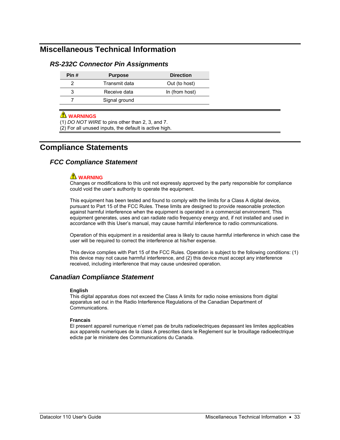## <span id="page-36-0"></span>**Miscellaneous Technical Information**

#### *RS-232C Connector Pin Assignments*

| Pin# | <b>Purpose</b> | <b>Direction</b> |
|------|----------------|------------------|
|      | Transmit data  | Out (to host)    |
|      | Receive data   | In (from host)   |
|      | Signal ground  |                  |

#### **A** WARNINGS

(1) *DO NOT WIRE* to pins other than 2, 3, and 7.

(2) For all unused inputs, the default is active high.

## **Compliance Statements**

#### *FCC Compliance Statement*

#### **WARNING**

Changes or modifications to this unit not expressly approved by the party responsible for compliance could void the user's authority to operate the equipment.

This equipment has been tested and found to comply with the limits for a Class A digital device, pursuant to Part 15 of the FCC Rules. These limits are designed to provide reasonable protection against harmful interference when the equipment is operated in a commercial environment. This equipment generates, uses and can radiate radio frequency energy and, if not installed and used in accordance with this User's manual, may cause harmful interference to radio communications.

Operation of this equipment in a residential area is likely to cause harmful interference in which case the user will be required to correct the interference at his/her expense.

This device complies with Part 15 of the FCC Rules. Operation is subject to the following conditions: (1) this device may not cause harmful interference, and (2) this device must accept any interference received, including interference that may cause undesired operation.

#### *Canadian Compliance Statement*

#### **English**

This digital apparatus does not exceed the Class A limits for radio noise emissions from digital apparatus set out in the Radio Interference Regulations of the Canadian Department of Communications.

#### **Francais**

El present appareil numerique n'emet pas de bruits radioelectriques depassant les limites applicables aux appareils numeriques de la class A prescrites dans le Reglement sur le brouillage radioelectrique edicte par le ministere des Communications du Canada.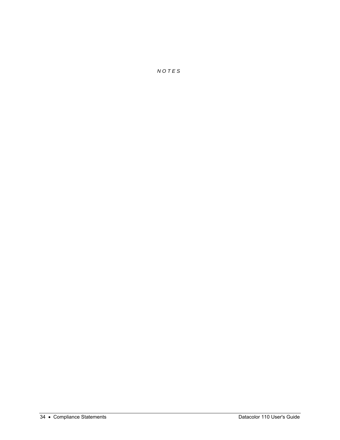*N O T E S*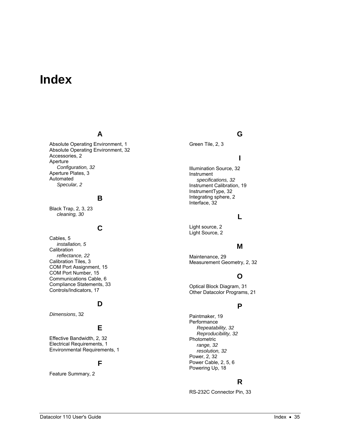## <span id="page-38-0"></span>**Index**

## **A**

Absolute Operating Environment, 1 Absolute Operating Environment, 32 Accessories, 2 Aperture *Configuration, 32*  Aperture Plates, 3 Automated *Specular, 2* 

### **B**

Black Trap, 2, 3, 23 *cleaning, 30* 

## **C**

Cables, 5 *installation, 5*  **Calibration** *reflectance, 22*  Calibration Tiles, 3 COM Port Assignment, 15 COM Port Number, 15 Communications Cable, 6 Compliance Statements, 33 Controls/Indicators, 17

## **D**

*Dimensions*, 32

## **E**

Effective Bandwidth, 2, 32 Electrical Requirements, 1 Environmental Requirements, 1

### **F**

Feature Summary, 2

Green Tile, 2, 3

## **I**

**G**

Illumination Source, 32 Instrument *specifications, 32*  Instrument Calibration, 19 InstrumentType, 32 Integrating sphere, 2 Interface, 32

#### **L**

Light source, 2 Light Source, 2

### **M**

Maintenance, 29 Measurement Geometry, 2, 32

## **O**

Optical Block Diagram, 31 Other Datacolor Programs, 21

## **P**

Paintmaker, 19 **Performance** *Repeatability, 32 Reproducibility, 32*  Photometric *range, 32 resolution, 32*  Power, 2, 32 Power Cable, 2, 5, 6 Powering Up, 18

### **R**

RS-232C Connector Pin, 33